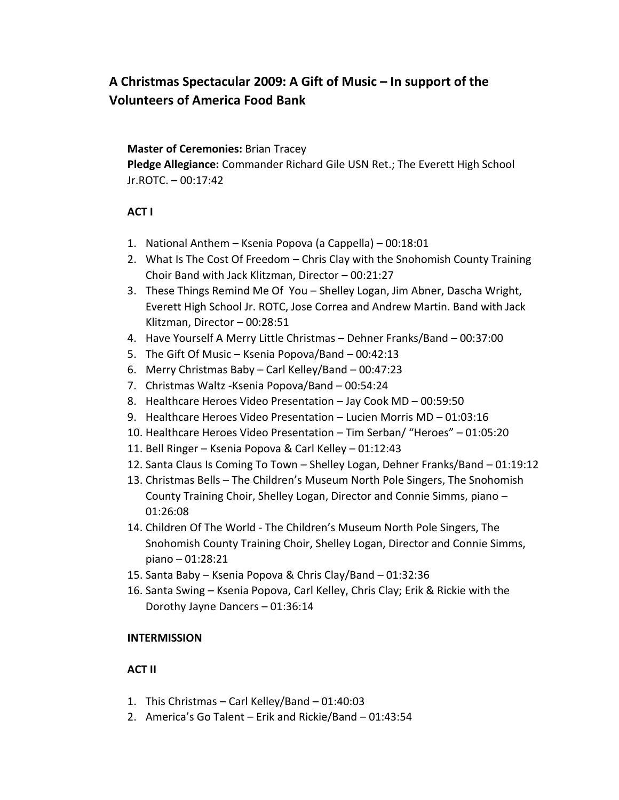# **A Christmas Spectacular 2009: A Gift of Music – In support of the Volunteers of America Food Bank**

## **Master of Ceremonies:** Brian Tracey

**Pledge Allegiance:** Commander Richard Gile USN Ret.; The Everett High School Jr.ROTC. – 00:17:42

## **ACT I**

- 1. National Anthem Ksenia Popova (a Cappella) 00:18:01
- 2. What Is The Cost Of Freedom Chris Clay with the Snohomish County Training Choir Band with Jack Klitzman, Director – 00:21:27
- 3. These Things Remind Me Of You Shelley Logan, Jim Abner, Dascha Wright, Everett High School Jr. ROTC, Jose Correa and Andrew Martin. Band with Jack Klitzman, Director – 00:28:51
- 4. Have Yourself A Merry Little Christmas Dehner Franks/Band 00:37:00
- 5. The Gift Of Music Ksenia Popova/Band 00:42:13
- 6. Merry Christmas Baby Carl Kelley/Band 00:47:23
- 7. Christmas Waltz -Ksenia Popova/Band 00:54:24
- 8. Healthcare Heroes Video Presentation Jay Cook MD 00:59:50
- 9. Healthcare Heroes Video Presentation Lucien Morris MD 01:03:16
- 10. Healthcare Heroes Video Presentation Tim Serban/ "Heroes" 01:05:20
- 11. Bell Ringer Ksenia Popova & Carl Kelley 01:12:43
- 12. Santa Claus Is Coming To Town Shelley Logan, Dehner Franks/Band 01:19:12
- 13. Christmas Bells The Children's Museum North Pole Singers, The Snohomish County Training Choir, Shelley Logan, Director and Connie Simms, piano – 01:26:08
- 14. Children Of The World The Children's Museum North Pole Singers, The Snohomish County Training Choir, Shelley Logan, Director and Connie Simms, piano – 01:28:21
- 15. Santa Baby Ksenia Popova & Chris Clay/Band 01:32:36
- 16. Santa Swing Ksenia Popova, Carl Kelley, Chris Clay; Erik & Rickie with the Dorothy Jayne Dancers – 01:36:14

### **INTERMISSION**

### **ACT II**

- 1. This Christmas Carl Kelley/Band 01:40:03
- 2. America's Go Talent Erik and Rickie/Band 01:43:54